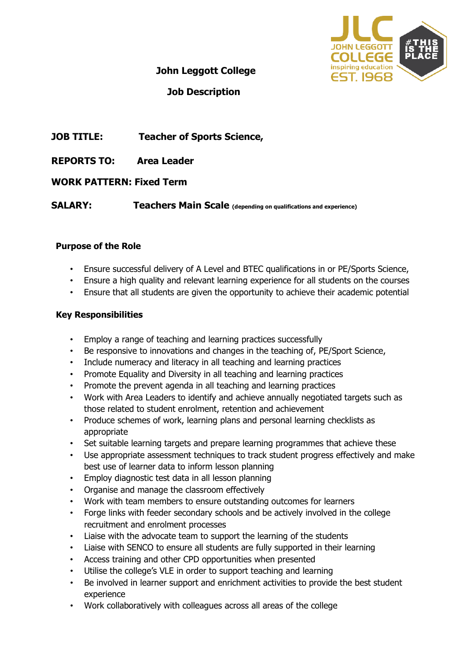

## **John Leggott College**

# **Job Description**

# **JOB TITLE: Teacher of Sports Science,**

**REPORTS TO: Area Leader** 

### **WORK PATTERN: Fixed Term**

**SALARY:** Teachers Main Scale (depending on qualifications and experience)

#### **Purpose of the Role**

- Ensure successful delivery of A Level and BTEC qualifications in or PE/Sports Science,
- Ensure a high quality and relevant learning experience for all students on the courses
- Ensure that all students are given the opportunity to achieve their academic potential

#### **Key Responsibilities**

- Employ a range of teaching and learning practices successfully
- Be responsive to innovations and changes in the teaching of, PE/Sport Science,
- Include numeracy and literacy in all teaching and learning practices
- Promote Equality and Diversity in all teaching and learning practices
- Promote the prevent agenda in all teaching and learning practices
- Work with Area Leaders to identify and achieve annually negotiated targets such as those related to student enrolment, retention and achievement
- Produce schemes of work, learning plans and personal learning checklists as appropriate
- Set suitable learning targets and prepare learning programmes that achieve these
- Use appropriate assessment techniques to track student progress effectively and make best use of learner data to inform lesson planning
- Employ diagnostic test data in all lesson planning
- Organise and manage the classroom effectively
- Work with team members to ensure outstanding outcomes for learners
- Forge links with feeder secondary schools and be actively involved in the college recruitment and enrolment processes
- Liaise with the advocate team to support the learning of the students
- Liaise with SENCO to ensure all students are fully supported in their learning
- Access training and other CPD opportunities when presented
- Utilise the college's VLE in order to support teaching and learning
- Be involved in learner support and enrichment activities to provide the best student experience
- Work collaboratively with colleagues across all areas of the college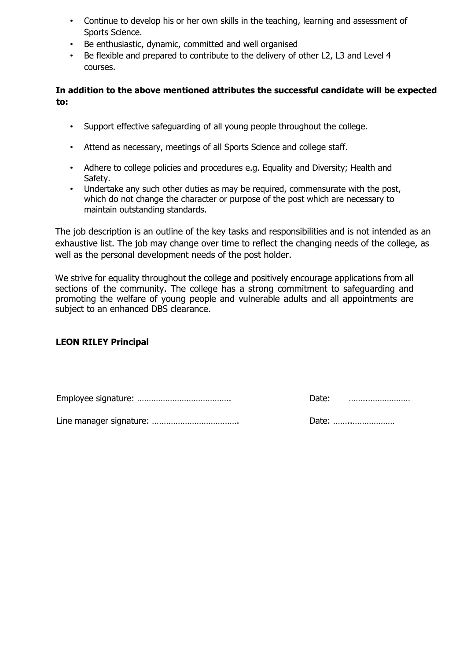- Continue to develop his or her own skills in the teaching, learning and assessment of Sports Science.
- Be enthusiastic, dynamic, committed and well organised
- Be flexible and prepared to contribute to the delivery of other L2, L3 and Level 4 courses.

**In addition to the above mentioned attributes the successful candidate will be expected to:** 

- Support effective safeguarding of all young people throughout the college.
- Attend as necessary, meetings of all Sports Science and college staff.
- Adhere to college policies and procedures e.g. Equality and Diversity; Health and Safety.
- Undertake any such other duties as may be required, commensurate with the post, which do not change the character or purpose of the post which are necessary to maintain outstanding standards.

The job description is an outline of the key tasks and responsibilities and is not intended as an exhaustive list. The job may change over time to reflect the changing needs of the college, as well as the personal development needs of the post holder.

We strive for equality throughout the college and positively encourage applications from all sections of the community. The college has a strong commitment to safeguarding and promoting the welfare of young people and vulnerable adults and all appointments are subject to an enhanced DBS clearance.

### **LEON RILEY Principal**

| Date: |  |
|-------|--|
|       |  |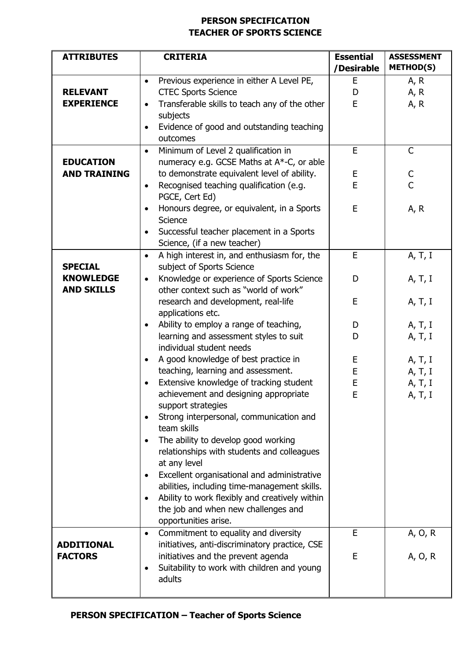# **PERSON SPECIFICATION TEACHER OF SPORTS SCIENCE**

| <b>ATTRIBUTES</b>                                       | <b>CRITERIA</b>                                                                                                                                                                                                                                                                                                                                                                                                                                                                                                                                                                                                                      | <b>Essential</b><br>/Desirable | <b>ASSESSMENT</b><br><b>METHOD(S)</b>    |
|---------------------------------------------------------|--------------------------------------------------------------------------------------------------------------------------------------------------------------------------------------------------------------------------------------------------------------------------------------------------------------------------------------------------------------------------------------------------------------------------------------------------------------------------------------------------------------------------------------------------------------------------------------------------------------------------------------|--------------------------------|------------------------------------------|
| <b>RELEVANT</b><br><b>EXPERIENCE</b>                    | Previous experience in either A Level PE,<br>$\bullet$<br><b>CTEC Sports Science</b><br>Transferable skills to teach any of the other<br>$\bullet$<br>subjects<br>Evidence of good and outstanding teaching<br>$\bullet$<br>outcomes                                                                                                                                                                                                                                                                                                                                                                                                 | E<br>D<br>E                    | A, R<br>A, R<br>A, R                     |
| <b>EDUCATION</b><br><b>AND TRAINING</b>                 | Minimum of Level 2 qualification in<br>$\bullet$<br>numeracy e.g. GCSE Maths at A*-C, or able<br>to demonstrate equivalent level of ability.<br>Recognised teaching qualification (e.g.<br>$\bullet$<br>PGCE, Cert Ed)<br>Honours degree, or equivalent, in a Sports<br>$\bullet$<br>Science<br>Successful teacher placement in a Sports<br>$\bullet$<br>Science, (if a new teacher)                                                                                                                                                                                                                                                 | E<br>Е<br>E<br>E               | $\mathsf{C}$<br>C<br>C<br>A, R           |
| <b>SPECIAL</b><br><b>KNOWLEDGE</b><br><b>AND SKILLS</b> | A high interest in, and enthusiasm for, the<br>$\bullet$<br>subject of Sports Science<br>Knowledge or experience of Sports Science<br>$\bullet$<br>other context such as "world of work"<br>research and development, real-life                                                                                                                                                                                                                                                                                                                                                                                                      | E<br>D<br>E                    | A, T, I<br>A, T, I<br>A, T, I            |
|                                                         | applications etc.<br>Ability to employ a range of teaching,<br>$\bullet$<br>learning and assessment styles to suit<br>individual student needs                                                                                                                                                                                                                                                                                                                                                                                                                                                                                       | D<br>D                         | A, T, I<br>A, T, I                       |
|                                                         | A good knowledge of best practice in<br>$\bullet$<br>teaching, learning and assessment.<br>Extensive knowledge of tracking student<br>achievement and designing appropriate<br>support strategies<br>Strong interpersonal, communication and<br>$\bullet$<br>team skills<br>The ability to develop good working<br>$\bullet$<br>relationships with students and colleagues<br>at any level<br>Excellent organisational and administrative<br>$\bullet$<br>abilities, including time-management skills.<br>Ability to work flexibly and creatively within<br>$\bullet$<br>the job and when new challenges and<br>opportunities arise. | E<br>E<br>E<br>E               | A, T, I<br>A, T, I<br>A, T, I<br>A, T, I |
| <b>ADDITIONAL</b><br><b>FACTORS</b>                     | Commitment to equality and diversity<br>$\bullet$<br>initiatives, anti-discriminatory practice, CSE<br>initiatives and the prevent agenda<br>Suitability to work with children and young<br>$\bullet$<br>adults                                                                                                                                                                                                                                                                                                                                                                                                                      | E<br>E                         | A, O, R<br>A, O, R                       |